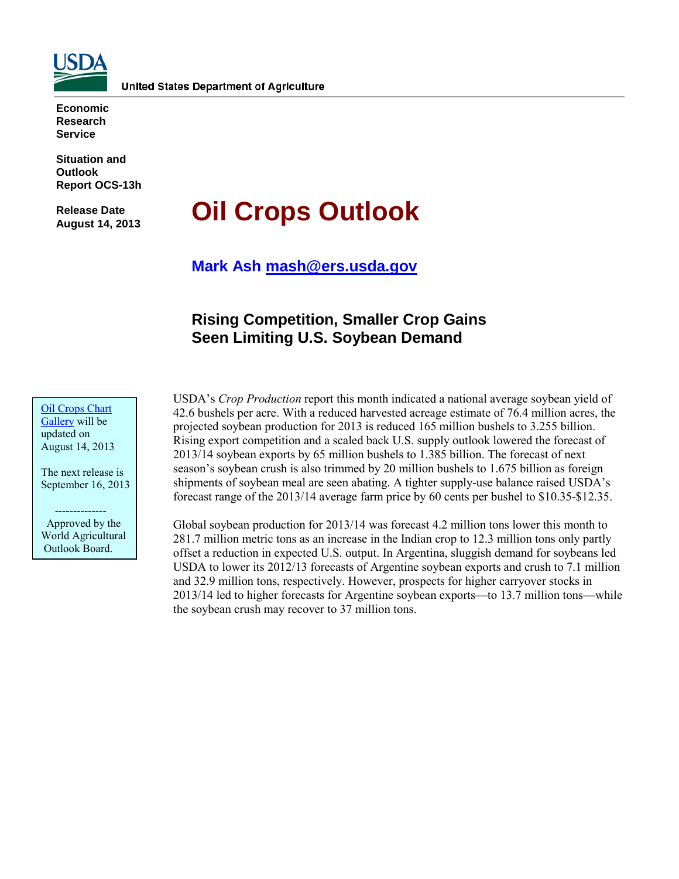

**Economic Research Service**

**Situation and Outlook Report OCS-13h** 

**Release Date August 14, 2013**

# **Oil Crops Outlook**

**Mark Ash [mash@ers.usda.gov](mailto:mash@ers.usda.gov)**

## **Rising Competition, Smaller Crop Gains Seen Limiting U.S. Soybean Demand**

[Oil Crops](http://www.ers.usda.gov/data-products/oil-crops-chart-gallery.aspx) Chart [Gallery](http://www.ers.usda.gov/data-products/oil-crops-chart-gallery.aspx) will be updated on August 14, 2013

The next release is September 16, 2013

 -------------- Approved by the World Agricultural Outlook Board.

USDA's *Crop Production* report this month indicated a national average soybean yield of 42.6 bushels per acre. With a reduced harvested acreage estimate of 76.4 million acres, the projected soybean production for 2013 is reduced 165 million bushels to 3.255 billion. Rising export competition and a scaled back U.S. supply outlook lowered the forecast of 2013/14 soybean exports by 65 million bushels to 1.385 billion. The forecast of next season's soybean crush is also trimmed by 20 million bushels to 1.675 billion as foreign shipments of soybean meal are seen abating. A tighter supply-use balance raised USDA's forecast range of the 2013/14 average farm price by 60 cents per bushel to \$10.35-\$12.35.

Global soybean production for 2013/14 was forecast 4.2 million tons lower this month to 281.7 million metric tons as an increase in the Indian crop to 12.3 million tons only partly offset a reduction in expected U.S. output. In Argentina, sluggish demand for soybeans led USDA to lower its 2012/13 forecasts of Argentine soybean exports and crush to 7.1 million and 32.9 million tons, respectively. However, prospects for higher carryover stocks in 2013/14 led to higher forecasts for Argentine soybean exports—to 13.7 million tons—while the soybean crush may recover to 37 million tons.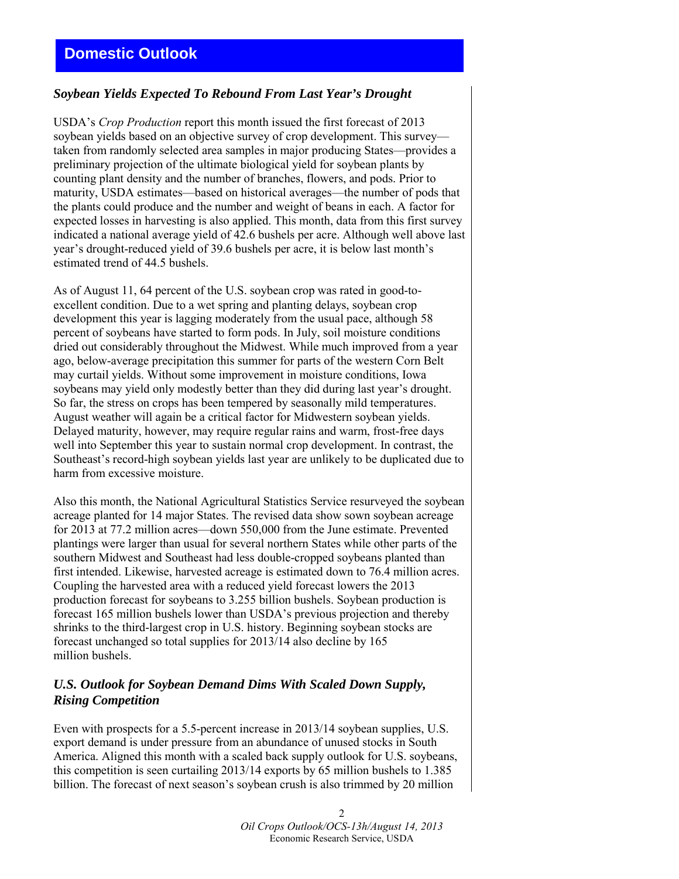## *Soybean Yields Expected To Rebound From Last Year's Drought*

USDA's *Crop Production* report this month issued the first forecast of 2013 soybean yields based on an objective survey of crop development. This survey taken from randomly selected area samples in major producing States—provides a preliminary projection of the ultimate biological yield for soybean plants by counting plant density and the number of branches, flowers, and pods. Prior to maturity, USDA estimates—based on historical averages—the number of pods that the plants could produce and the number and weight of beans in each. A factor for expected losses in harvesting is also applied. This month, data from this first survey indicated a national average yield of 42.6 bushels per acre. Although well above last year's drought-reduced yield of 39.6 bushels per acre, it is below last month's estimated trend of 44.5 bushels.

As of August 11, 64 percent of the U.S. soybean crop was rated in good-toexcellent condition. Due to a wet spring and planting delays, soybean crop development this year is lagging moderately from the usual pace, although 58 percent of soybeans have started to form pods. In July, soil moisture conditions dried out considerably throughout the Midwest. While much improved from a year ago, below-average precipitation this summer for parts of the western Corn Belt may curtail yields. Without some improvement in moisture conditions, Iowa soybeans may yield only modestly better than they did during last year's drought. So far, the stress on crops has been tempered by seasonally mild temperatures. August weather will again be a critical factor for Midwestern soybean yields. Delayed maturity, however, may require regular rains and warm, frost-free days well into September this year to sustain normal crop development. In contrast, the Southeast's record-high soybean yields last year are unlikely to be duplicated due to harm from excessive moisture.

Also this month, the National Agricultural Statistics Service resurveyed the soybean acreage planted for 14 major States. The revised data show sown soybean acreage for 2013 at 77.2 million acres—down 550,000 from the June estimate. Prevented plantings were larger than usual for several northern States while other parts of the southern Midwest and Southeast had less double-cropped soybeans planted than first intended. Likewise, harvested acreage is estimated down to 76.4 million acres. Coupling the harvested area with a reduced yield forecast lowers the 2013 production forecast for soybeans to 3.255 billion bushels. Soybean production is forecast 165 million bushels lower than USDA's previous projection and thereby shrinks to the third-largest crop in U.S. history. Beginning soybean stocks are forecast unchanged so total supplies for 2013/14 also decline by 165 million bushels.

#### *U.S. Outlook for Soybean Demand Dims With Scaled Down Supply, Rising Competition*

Even with prospects for a 5.5-percent increase in 2013/14 soybean supplies, U.S. export demand is under pressure from an abundance of unused stocks in South America. Aligned this month with a scaled back supply outlook for U.S. soybeans, this competition is seen curtailing 2013/14 exports by 65 million bushels to 1.385 billion. The forecast of next season's soybean crush is also trimmed by 20 million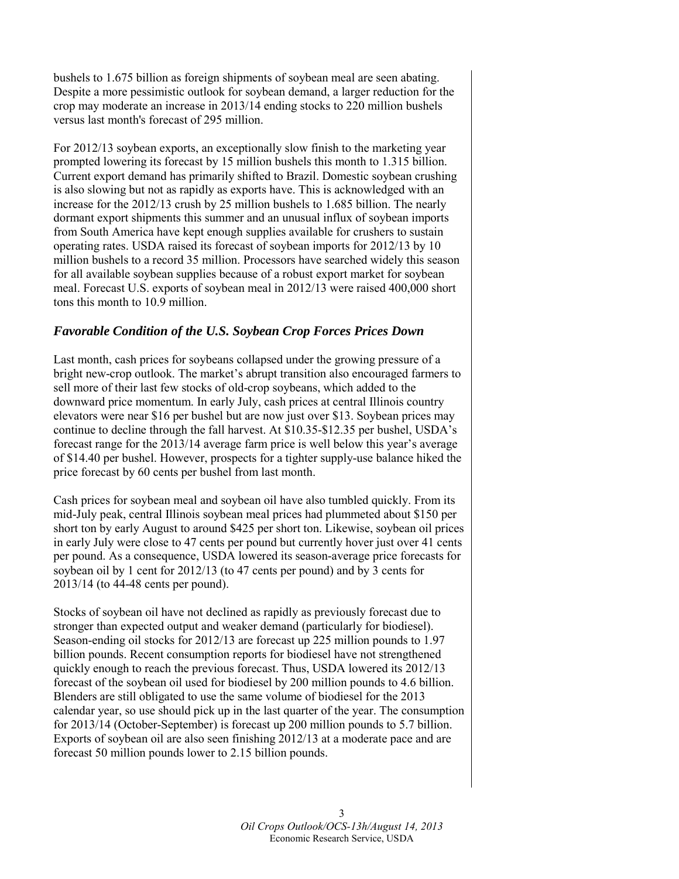bushels to 1.675 billion as foreign shipments of soybean meal are seen abating. Despite a more pessimistic outlook for soybean demand, a larger reduction for the crop may moderate an increase in 2013/14 ending stocks to 220 million bushels versus last month's forecast of 295 million.

For 2012/13 soybean exports, an exceptionally slow finish to the marketing year prompted lowering its forecast by 15 million bushels this month to 1.315 billion. Current export demand has primarily shifted to Brazil. Domestic soybean crushing is also slowing but not as rapidly as exports have. This is acknowledged with an increase for the 2012/13 crush by 25 million bushels to 1.685 billion. The nearly dormant export shipments this summer and an unusual influx of soybean imports from South America have kept enough supplies available for crushers to sustain operating rates. USDA raised its forecast of soybean imports for 2012/13 by 10 million bushels to a record 35 million. Processors have searched widely this season for all available soybean supplies because of a robust export market for soybean meal. Forecast U.S. exports of soybean meal in 2012/13 were raised 400,000 short tons this month to 10.9 million.

## *Favorable Condition of the U.S. Soybean Crop Forces Prices Down*

Last month, cash prices for soybeans collapsed under the growing pressure of a bright new-crop outlook. The market's abrupt transition also encouraged farmers to sell more of their last few stocks of old-crop soybeans, which added to the downward price momentum. In early July, cash prices at central Illinois country elevators were near \$16 per bushel but are now just over \$13. Soybean prices may continue to decline through the fall harvest. At \$10.35-\$12.35 per bushel, USDA's forecast range for the 2013/14 average farm price is well below this year's average of \$14.40 per bushel. However, prospects for a tighter supply-use balance hiked the price forecast by 60 cents per bushel from last month.

Cash prices for soybean meal and soybean oil have also tumbled quickly. From its mid-July peak, central Illinois soybean meal prices had plummeted about \$150 per short ton by early August to around \$425 per short ton. Likewise, soybean oil prices in early July were close to 47 cents per pound but currently hover just over 41 cents per pound. As a consequence, USDA lowered its season-average price forecasts for soybean oil by 1 cent for 2012/13 (to 47 cents per pound) and by 3 cents for 2013/14 (to 44-48 cents per pound).

Stocks of soybean oil have not declined as rapidly as previously forecast due to stronger than expected output and weaker demand (particularly for biodiesel). Season-ending oil stocks for 2012/13 are forecast up 225 million pounds to 1.97 billion pounds. Recent consumption reports for biodiesel have not strengthened quickly enough to reach the previous forecast. Thus, USDA lowered its 2012/13 forecast of the soybean oil used for biodiesel by 200 million pounds to 4.6 billion. Blenders are still obligated to use the same volume of biodiesel for the 2013 calendar year, so use should pick up in the last quarter of the year. The consumption for 2013/14 (October-September) is forecast up 200 million pounds to 5.7 billion. Exports of soybean oil are also seen finishing 2012/13 at a moderate pace and are forecast 50 million pounds lower to 2.15 billion pounds.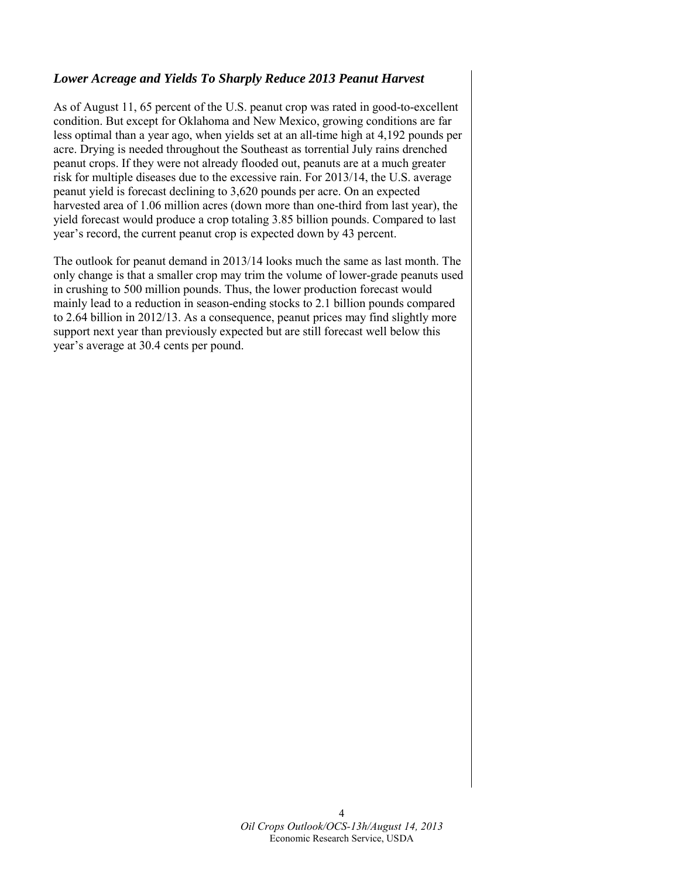## *Lower Acreage and Yields To Sharply Reduce 2013 Peanut Harvest*

As of August 11, 65 percent of the U.S. peanut crop was rated in good-to-excellent condition. But except for Oklahoma and New Mexico, growing conditions are far less optimal than a year ago, when yields set at an all-time high at 4,192 pounds per acre. Drying is needed throughout the Southeast as torrential July rains drenched peanut crops. If they were not already flooded out, peanuts are at a much greater risk for multiple diseases due to the excessive rain. For 2013/14, the U.S. average peanut yield is forecast declining to 3,620 pounds per acre. On an expected harvested area of 1.06 million acres (down more than one-third from last year), the yield forecast would produce a crop totaling 3.85 billion pounds. Compared to last year's record, the current peanut crop is expected down by 43 percent.

The outlook for peanut demand in 2013/14 looks much the same as last month. The only change is that a smaller crop may trim the volume of lower-grade peanuts used in crushing to 500 million pounds. Thus, the lower production forecast would mainly lead to a reduction in season-ending stocks to 2.1 billion pounds compared to 2.64 billion in 2012/13. As a consequence, peanut prices may find slightly more support next year than previously expected but are still forecast well below this year's average at 30.4 cents per pound.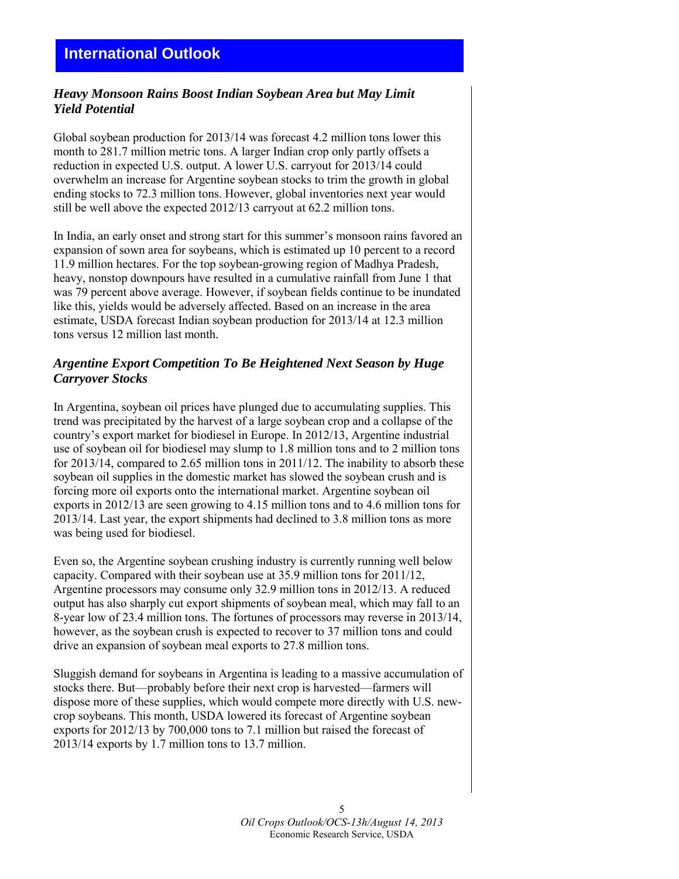## *Heavy Monsoon Rains Boost Indian Soybean Area but May Limit Yield Potential*

Global soybean production for 2013/14 was forecast 4.2 million tons lower this month to 281.7 million metric tons. A larger Indian crop only partly offsets a reduction in expected U.S. output. A lower U.S. carryout for 2013/14 could overwhelm an increase for Argentine soybean stocks to trim the growth in global ending stocks to 72.3 million tons. However, global inventories next year would still be well above the expected 2012/13 carryout at 62.2 million tons.

In India, an early onset and strong start for this summer's monsoon rains favored an expansion of sown area for soybeans, which is estimated up 10 percent to a record 11.9 million hectares. For the top soybean-growing region of Madhya Pradesh, heavy, nonstop downpours have resulted in a cumulative rainfall from June 1 that was 79 percent above average. However, if soybean fields continue to be inundated like this, yields would be adversely affected. Based on an increase in the area estimate, USDA forecast Indian soybean production for 2013/14 at 12.3 million tons versus 12 million last month.

## *Argentine Export Competition To Be Heightened Next Season by Huge Carryover Stocks*

In Argentina, soybean oil prices have plunged due to accumulating supplies. This trend was precipitated by the harvest of a large soybean crop and a collapse of the country's export market for biodiesel in Europe. In 2012/13, Argentine industrial use of soybean oil for biodiesel may slump to 1.8 million tons and to 2 million tons for 2013/14, compared to 2.65 million tons in 2011/12. The inability to absorb these soybean oil supplies in the domestic market has slowed the soybean crush and is forcing more oil exports onto the international market. Argentine soybean oil exports in 2012/13 are seen growing to 4.15 million tons and to 4.6 million tons for 2013/14. Last year, the export shipments had declined to 3.8 million tons as more was being used for biodiesel.

Even so, the Argentine soybean crushing industry is currently running well below capacity. Compared with their soybean use at 35.9 million tons for 2011/12, Argentine processors may consume only 32.9 million tons in 2012/13. A reduced output has also sharply cut export shipments of soybean meal, which may fall to an 8-year low of 23.4 million tons. The fortunes of processors may reverse in 2013/14, however, as the soybean crush is expected to recover to 37 million tons and could drive an expansion of soybean meal exports to 27.8 million tons.

Sluggish demand for soybeans in Argentina is leading to a massive accumulation of stocks there. But—probably before their next crop is harvested—farmers will dispose more of these supplies, which would compete more directly with U.S. newcrop soybeans. This month, USDA lowered its forecast of Argentine soybean exports for 2012/13 by 700,000 tons to 7.1 million but raised the forecast of 2013/14 exports by 1.7 million tons to 13.7 million.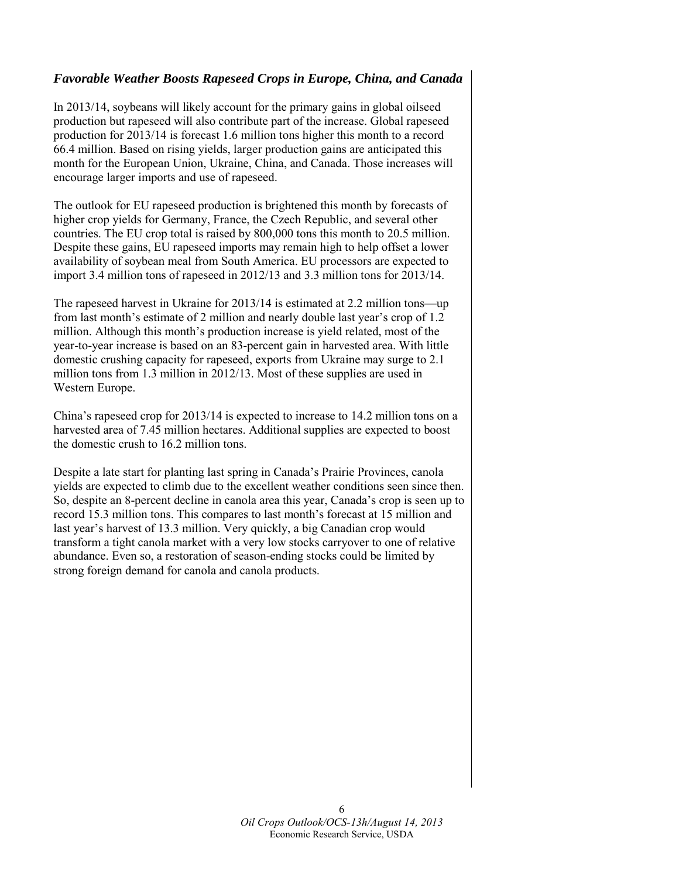## *Favorable Weather Boosts Rapeseed Crops in Europe, China, and Canada*

In 2013/14, soybeans will likely account for the primary gains in global oilseed production but rapeseed will also contribute part of the increase. Global rapeseed production for 2013/14 is forecast 1.6 million tons higher this month to a record 66.4 million. Based on rising yields, larger production gains are anticipated this month for the European Union, Ukraine, China, and Canada. Those increases will encourage larger imports and use of rapeseed.

The outlook for EU rapeseed production is brightened this month by forecasts of higher crop yields for Germany, France, the Czech Republic, and several other countries. The EU crop total is raised by 800,000 tons this month to 20.5 million. Despite these gains, EU rapeseed imports may remain high to help offset a lower availability of soybean meal from South America. EU processors are expected to import 3.4 million tons of rapeseed in 2012/13 and 3.3 million tons for 2013/14.

The rapeseed harvest in Ukraine for 2013/14 is estimated at 2.2 million tons—up from last month's estimate of 2 million and nearly double last year's crop of 1.2 million. Although this month's production increase is yield related, most of the year-to-year increase is based on an 83-percent gain in harvested area. With little domestic crushing capacity for rapeseed, exports from Ukraine may surge to 2.1 million tons from 1.3 million in 2012/13. Most of these supplies are used in Western Europe.

China's rapeseed crop for 2013/14 is expected to increase to 14.2 million tons on a harvested area of 7.45 million hectares. Additional supplies are expected to boost the domestic crush to 16.2 million tons.

Despite a late start for planting last spring in Canada's Prairie Provinces, canola yields are expected to climb due to the excellent weather conditions seen since then. So, despite an 8-percent decline in canola area this year, Canada's crop is seen up to record 15.3 million tons. This compares to last month's forecast at 15 million and last year's harvest of 13.3 million. Very quickly, a big Canadian crop would transform a tight canola market with a very low stocks carryover to one of relative abundance. Even so, a restoration of season-ending stocks could be limited by strong foreign demand for canola and canola products.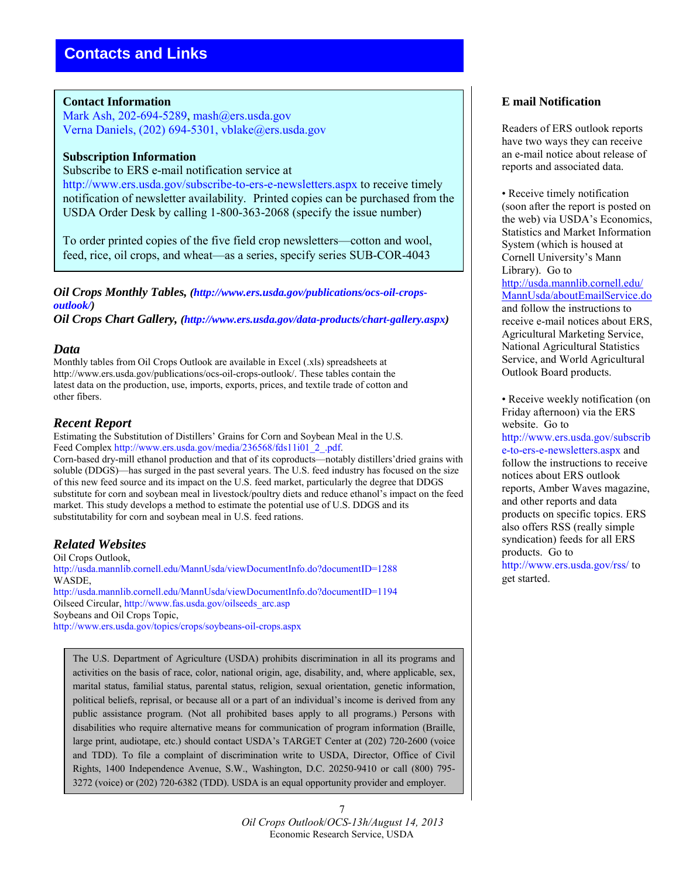#### **Contact Information**

Mark Ash, 202-694-5289, mash@ers.usda.gov Verna Daniels, (202) 694-5301, vblake@ers.usda.gov

#### **Subscription Information**

Subscribe to ERS e-mail notification service at http://www.ers.usda.gov/subscribe-to-ers-e-newsletters.aspx to receive timely notification of newsletter availability. Printed copies can be purchased from the USDA Order Desk by calling 1-800-363-2068 (specify the issue number)

To order printed copies of the five field crop newsletters—cotton and wool, feed, rice, oil crops, and wheat—as a series, specify series SUB-COR-4043

*Oil Crops Monthly Tables, (http://www.ers.usda.gov/publications/ocs-oil-cropsoutlook/)* 

*Oil Crops Chart Gallery, (http://www.ers.usda.gov/data-products/chart-gallery.aspx)* 

#### *Data*

Monthly tables from Oil Crops Outlook are available in Excel (.xls) spreadsheets at http://www.ers.usda.gov/publications/ocs-oil-crops-outlook/. These tables contain the latest data on the production, use, imports, exports, prices, and textile trade of cotton and other fibers.

#### *Recent Report*

Estimating the Substitution of Distillers' Grains for Corn and Soybean Meal in the U.S. Feed Complex http://www.ers.usda.gov/media/236568/fds11i01\_2\_.pdf.

Corn-based dry-mill ethanol production and that of its coproducts—notably distillers'dried grains with soluble (DDGS)—has surged in the past several years. The U.S. feed industry has focused on the size of this new feed source and its impact on the U.S. feed market, particularly the degree that DDGS substitute for corn and soybean meal in livestock/poultry diets and reduce ethanol's impact on the feed market. This study develops a method to estimate the potential use of U.S. DDGS and its substitutability for corn and soybean meal in U.S. feed rations.

## *Related Websites*

Oil Crops Outlook, http://usda.mannlib.cornell.edu/MannUsda/viewDocumentInfo.do?documentID=1288 WASDE, http://usda.mannlib.cornell.edu/MannUsda/viewDocumentInfo.do?documentID=1194 Oilseed Circular, http://www.fas.usda.gov/oilseeds\_arc.asp Soybeans and Oil Crops Topic, http://www.ers.usda.gov/topics/crops/soybeans-oil-crops.aspx

The U.S. Department of Agriculture (USDA) prohibits discrimination in all its programs and activities on the basis of race, color, national origin, age, disability, and, where applicable, sex, marital status, familial status, parental status, religion, sexual orientation, genetic information, political beliefs, reprisal, or because all or a part of an individual's income is derived from any public assistance program. (Not all prohibited bases apply to all programs.) Persons with disabilities who require alternative means for communication of program information (Braille, large print, audiotape, etc.) should contact USDA's TARGET Center at (202) 720-2600 (voice and TDD). To file a complaint of discrimination write to USDA, Director, Office of Civil Rights, 1400 Independence Avenue, S.W., Washington, D.C. 20250-9410 or call (800) 795- 3272 (voice) or (202) 720-6382 (TDD). USDA is an equal opportunity provider and employer.

#### 7 *Oil Crops Outlook*/*OCS-13h/August 14, 2013* Economic Research Service, USDA

## **E mail Notification**

Readers of ERS outlook reports have two ways they can receive an e-mail notice about release of reports and associated data.

• Receive timely notification (soon after the report is posted on the web) via USDA's Economics, Statistics and Market Information System (which is housed at Cornell University's Mann Library). Go to [http://usda.mannlib.cornell.edu/](http://usda.mannlib.cornell.edu/MannUsda/aboutEmailService.do) [MannUsda/aboutEmailService.do](http://usda.mannlib.cornell.edu/MannUsda/aboutEmailService.do) and follow the instructions to receive e-mail notices about ERS, Agricultural Marketing Service, National Agricultural Statistics Service, and World Agricultural Outlook Board products.

• Receive weekly notification (on Friday afternoon) via the ERS website. Go to http://www.ers.usda.gov/subscrib e-to-ers-e-newsletters.aspx and follow the instructions to receive notices about ERS outlook reports, Amber Waves magazine, and other reports and data products on specific topics. ERS also offers RSS (really simple syndication) feeds for all ERS products. Go to http://www.ers.usda.gov/rss/ to get started.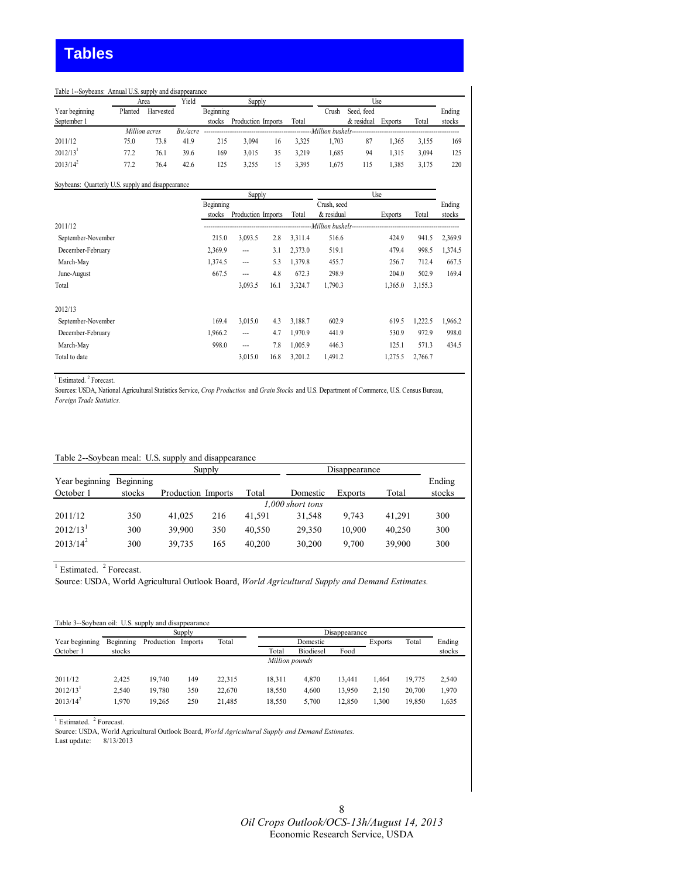#### Table 1--Soybeans: Annual U.S. supply and disappearance

|                        | Area    |               | Yield<br>Supply |           |                    | Use |       |       |                                           |                |       |        |
|------------------------|---------|---------------|-----------------|-----------|--------------------|-----|-------|-------|-------------------------------------------|----------------|-------|--------|
| Year beginning         | Planted | Harvested     |                 | Beginning |                    |     |       | Crush | Seed, feed                                |                |       | Ending |
| September 1            |         |               |                 | stocks    | Production Imports |     | Total |       | & residual                                | <b>Exports</b> | Total | stocks |
|                        |         | Million acres | $Bu$ ./acre     |           |                    |     |       |       | -Million bushels------------------------- |                |       |        |
| 2011/12                | 75.0    | 73.8          | 41.9            | 215       | 3.094              | 16  | 3,325 | .703  | 87                                        | 1.365          | 3.155 | 169    |
| $2012/13$ <sup>1</sup> | 77.2    | 76.1          | 39.6            | 169       | 3.015              | 35  | 3.219 | .685  | 94                                        | 1.315          | 3.094 | 125    |
| $2013/14^2$            | 77.2    | 76.4          | 42.6            | 125       | 3.255              | 15  | 3,395 | .675  | 115                                       | 1.385          | 3.175 | 220    |

#### Soybeans: Quarterly U.S. supply and disappearance

|                    | Supply    |                    |      |         | Use         |                                             |         |         |
|--------------------|-----------|--------------------|------|---------|-------------|---------------------------------------------|---------|---------|
|                    | Beginning |                    |      |         | Crush, seed |                                             |         | Ending  |
|                    | stocks    | Production Imports |      | Total   | & residual  | Exports                                     | Total   | stocks  |
| 2011/12            |           |                    |      |         |             | --Million bushels-------------------------- |         |         |
| September-November | 215.0     | 3,093.5            | 2.8  | 3,311.4 | 516.6       | 424.9                                       | 941.5   | 2,369.9 |
| December-February  | 2,369.9   | ---                | 3.1  | 2,373.0 | 519.1       | 479.4                                       | 998.5   | 1,374.5 |
| March-May          | 1,374.5   | ---                | 5.3  | 1,379.8 | 455.7       | 256.7                                       | 712.4   | 667.5   |
| June-August        | 667.5     | ---                | 4.8  | 672.3   | 298.9       | 204.0                                       | 502.9   | 169.4   |
| Total              |           | 3,093.5            | 16.1 | 3,324.7 | 1,790.3     | 1,365.0                                     | 3,155.3 |         |
| 2012/13            |           |                    |      |         |             |                                             |         |         |
| September-November | 169.4     | 3,015.0            | 4.3  | 3,188.7 | 602.9       | 619.5                                       | 1,222.5 | 1,966.2 |
| December-February  | 1,966.2   | ---                | 4.7  | 1,970.9 | 441.9       | 530.9                                       | 972.9   | 998.0   |
| March-May          | 998.0     | ---                | 7.8  | 1,005.9 | 446.3       | 125.1                                       | 571.3   | 434.5   |
| Total to date      |           | 3,015.0            | 16.8 | 3,201.2 | 1,491.2     | 1,275.5                                     | 2,766.7 |         |

<sup>1</sup> Estimated.<sup>2</sup> Forecast.

Sources: USDA, National Agricultural Statistics Service, *Crop Production* and *Grain Stocks* and U.S. Department of Commerce, U.S. Census Bureau, *Foreign Trade Statistics.*

#### Table 2--Soybean meal: U.S. supply and disappearance

|                                       | Disappearance<br>Supply |                    |     |        |                  |         |        |                  |
|---------------------------------------|-------------------------|--------------------|-----|--------|------------------|---------|--------|------------------|
| Year beginning Beginning<br>October 1 | stocks                  | Production Imports |     | Total  | Domestic         | Exports | Total  | Ending<br>stocks |
|                                       |                         |                    |     |        | 1,000 short tons |         |        |                  |
| 2011/12                               | 350                     | 41.025             | 216 | 41.591 | 31.548           | 9.743   | 41.291 | 300              |
| $2012/13$ <sup>1</sup>                | 300                     | 39.900             | 350 | 40.550 | 29.350           | 10.900  | 40.250 | 300              |
| $2013/14^2$                           | 300                     | 39.735             | 165 | 40.200 | 30,200           | 9.700   | 39.900 | 300              |

 $<sup>1</sup>$  Estimated.  $<sup>2</sup>$  Forecast.</sup></sup>

Source: USDA, World Agricultural Outlook Board, *World Agricultural Supply and Demand Estimates.*

| Table 3--Sovbean oil: U.S. supply and disappearance |                |            |         |        |        |                  |        |         |        |        |  |
|-----------------------------------------------------|----------------|------------|---------|--------|--------|------------------|--------|---------|--------|--------|--|
|                                                     |                |            | Supply  |        |        | Disappearance    |        |         |        |        |  |
| Year beginning                                      | Beginning      | Production | Imports | Total  |        | Domestic         |        | Exports | Total  | Ending |  |
| October 1                                           | stocks         |            |         |        | Total  | <b>Biodiesel</b> | Food   |         |        | stocks |  |
|                                                     | Million pounds |            |         |        |        |                  |        |         |        |        |  |
| 2011/12                                             | 2.425          | 19.740     | 149     | 22.315 | 18,311 | 4,870            | 13.441 | 1.464   | 19,775 | 2.540  |  |
| $2012/13$ <sup>1</sup>                              | 2.540          | 19.780     | 350     | 22.670 | 18,550 | 4.600            | 13.950 | 2.150   | 20.700 | 1,970  |  |
| $2013/14^2$                                         | 1.970          | 19.265     | 250     | 21.485 | 18,550 | 5.700            | 12,850 | 1.300   | 19.850 | 1,635  |  |

<sup>1</sup> Estimated. <sup>2</sup> Forecast.

Source: USDA, World Agricultural Outlook Board, *World Agricultural Supply and Demand Estimates.*

Last update: 8/13/2013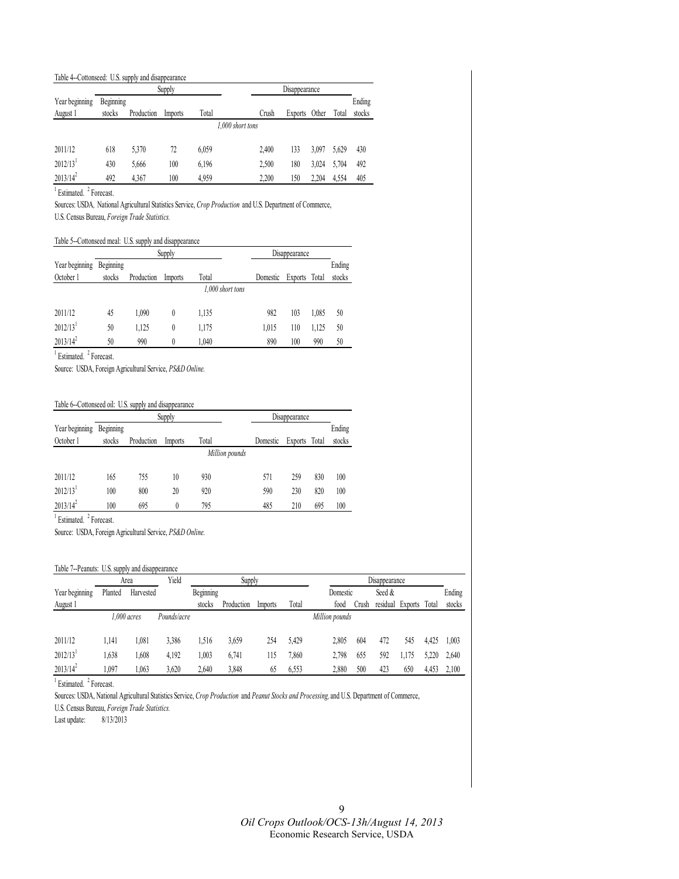#### Table 4--Cottonseed: U.S. supply and disappearance

|                        |           |            | Supply           |       | Disappearance    |       |         |       |       |        |
|------------------------|-----------|------------|------------------|-------|------------------|-------|---------|-------|-------|--------|
| Year beginning         | Beginning |            |                  |       |                  |       |         |       |       | Ending |
| August 1               | stocks    | Production | Total<br>Imports |       |                  | Crush | Exports | Other | Total | stocks |
|                        |           |            |                  |       | 1,000 short tons |       |         |       |       |        |
| 2011/12                | 618       | 5,370      | 72               | 6,059 |                  | 2.400 | 133     | 3.097 | 5.629 | 430    |
| $2012/13$ <sup>1</sup> | 430       | 5,666      | 100              | 6,196 |                  | 2,500 | 180     | 3.024 | 5,704 | 492    |
| $2013/14^2$            | 492       | 4.367      | 100              | 4.959 |                  | 2.200 | 150     | 2.204 | 4.554 | 405    |

<sup>1</sup> Estimated. <sup>2</sup> Forecast.

Sources: USDA*,* National Agricultural Statistics Service, *Crop Production* and U.S. Department of Commerce, U.S. Census Bureau, *Foreign Trade Statistics.*

#### Table 5--Cottonseed meal: U.S. supply and disappearance

|                        |           |            | Supply  |                  | Disappearance |               |       |        |
|------------------------|-----------|------------|---------|------------------|---------------|---------------|-------|--------|
| Year beginning         | Beginning |            |         |                  |               |               |       | Ending |
| October 1              | stocks    | Production | Imports | Total            | Domestic      | Exports Total |       | stocks |
|                        |           |            |         | 1,000 short tons |               |               |       |        |
|                        |           |            |         |                  |               |               |       |        |
| 2011/12                | 45        | 1.090      | 0       | 1,135            | 982           | 103           | 1,085 | 50     |
| $2012/13$ <sup>1</sup> | 50        | 1,125      | 0       | 1,175            | 1.015         | 110           | 1,125 | 50     |
| $2013/14^2$            | 50        | 990        | 0       | 1.040            | 890           | 100           | 990   | 50     |

<sup>1</sup> Estimated. <sup>2</sup> Forecast.

Source: USDA, Foreign Agricultural Service, *PS&D Online.*

#### Table 6--Cottonseed oil: U.S. supply and disappearance

|                        |           |            | Supply  |                |          | Disappearance |       |        |
|------------------------|-----------|------------|---------|----------------|----------|---------------|-------|--------|
| Year beginning         | Beginning |            |         |                |          |               |       | Ending |
| October 1              | stocks    | Production | Imports | Total          | Domestic | Exports       | Total | stocks |
|                        |           |            |         | Million pounds |          |               |       |        |
| 2011/12                | 165       | 755        |         | 930            | 571      | 259           | 830   | 100    |
|                        |           |            | 10      |                |          |               |       |        |
| $2012/13$ <sup>1</sup> | 100       | 800        | 20      | 920            | 590      | 230           | 820   | 100    |
| $2013/14^2$            | 100       | 695        |         | 795            | 485      | 210           | 695   | 100    |

<sup>1</sup> Estimated. <sup>2</sup> Forecast.

Source: USDA, Foreign Agricultural Service, *PS&D Online.*

#### Table 7--Peanuts: U.S. supply and disappearance

|                        |         | Area          | Yield       | Supply           |            |         | Disappearance |                |       |          |         |       |        |
|------------------------|---------|---------------|-------------|------------------|------------|---------|---------------|----------------|-------|----------|---------|-------|--------|
| Year beginning         | Planted | Harvested     |             | <b>Beginning</b> |            |         |               | Domestic       |       | Seed &   |         |       | Ending |
| August 1               |         |               |             | stocks           | Production | Imports | Total         | food           | ∠rush | residual | Exports | Total | stocks |
|                        |         | $1.000$ acres | Pounds/acre |                  |            |         |               | Million pounds |       |          |         |       |        |
|                        |         |               |             |                  |            |         |               |                |       |          |         |       |        |
| 2011/12                | 1.141   | .081          | 3,386       | .516             | 3,659      | 254     | 5.429         | 2.805          | 604   | 472      | 545     | 4.425 | 1.003  |
| $2012/13$ <sup>1</sup> | .638    | .608          | 4,192       | .003             | 6.741      | 115     | .860          | 2.798          | 655   | 592      | .175    | 5.220 | 2.640  |
| $2013/14^2$            | ,097    | .063          | 3,620       | 2.640            | 3,848      | 65      | 6,553         | 2,880          | 500   | 423      | 650     | 4,453 | 2,100  |

<sup>1</sup> Estimated. <sup>2</sup> Forecast.

Sources: USDA, National Agricultural Statistics Service, *Crop Production* and *Peanut Stocks and Processing,* and U.S. Department of Commerce,

U.S. Census Bureau, *Foreign Trade Statistics.*

Last update: 8/13/2013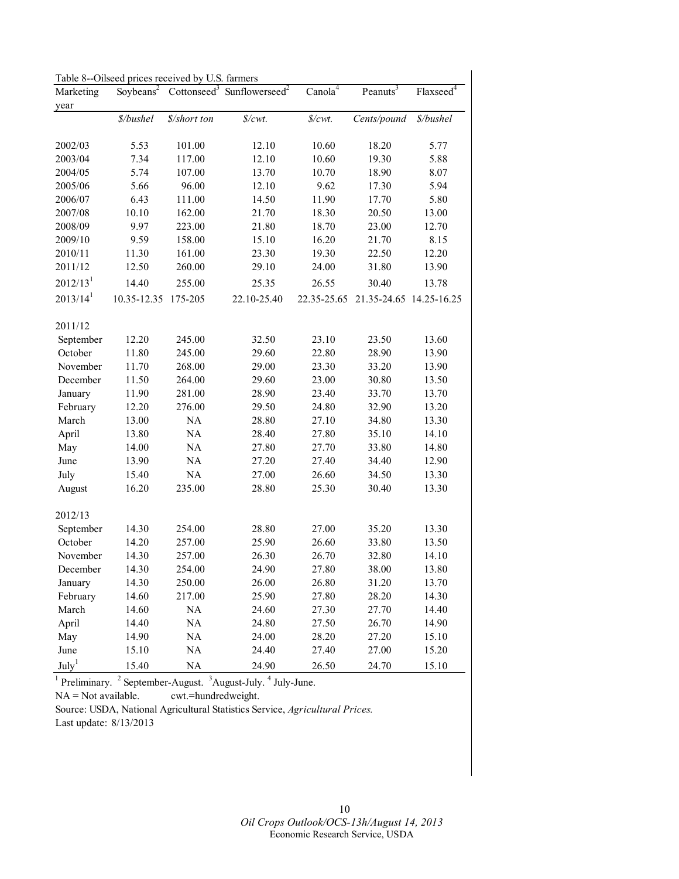Table 8--Oilseed prices received by U.S. farmers

| Marketing            | Soybeans <sup>2</sup> |              | Cottonseed <sup>3</sup> Sunflowerseed <sup>2</sup> | Canola <sup>4</sup>             | Peanuts <sup>3</sup>    | $Flaxsee\overline{d}^4$ |
|----------------------|-----------------------|--------------|----------------------------------------------------|---------------------------------|-------------------------|-------------------------|
| year                 |                       |              |                                                    |                                 |                         |                         |
|                      | \$/bushel             | \$/short ton | \$/cwt.                                            | $\frac{\text{S}}{\text{Cwt}}$ . | Cents/pound             | \$/bushel               |
| 2002/03              | 5.53                  | 101.00       | 12.10                                              | 10.60                           | 18.20                   | 5.77                    |
| 2003/04              | 7.34                  | 117.00       | 12.10                                              | 10.60                           | 19.30                   | 5.88                    |
| 2004/05              | 5.74                  | 107.00       | 13.70                                              | 10.70                           | 18.90                   | 8.07                    |
| 2005/06              | 5.66                  | 96.00        | 12.10                                              | 9.62                            | 17.30                   | 5.94                    |
| 2006/07              | 6.43                  | 111.00       | 14.50                                              | 11.90                           | 17.70                   | 5.80                    |
| 2007/08              | 10.10                 | 162.00       | 21.70                                              | 18.30                           | 20.50                   | 13.00                   |
| 2008/09              | 9.97                  | 223.00       | 21.80                                              | 18.70                           | 23.00                   | 12.70                   |
| 2009/10              | 9.59                  | 158.00       | 15.10                                              | 16.20                           | 21.70                   | 8.15                    |
| 2010/11              | 11.30                 | 161.00       | 23.30                                              | 19.30                           | 22.50                   | 12.20                   |
| 2011/12              | 12.50                 | 260.00       | 29.10                                              | 24.00                           | 31.80                   | 13.90                   |
| $2012/13^1$          | 14.40                 | 255.00       | 25.35                                              | 26.55                           | 30.40                   | 13.78                   |
| 2013/14 <sup>1</sup> | 10.35-12.35           | 175-205      | 22.10-25.40                                        | 22.35-25.65                     | 21.35-24.65 14.25-16.25 |                         |
|                      |                       |              |                                                    |                                 |                         |                         |
| 2011/12              |                       |              |                                                    |                                 |                         |                         |
| September            | 12.20                 | 245.00       | 32.50                                              | 23.10                           | 23.50                   | 13.60                   |
| October              | 11.80                 | 245.00       | 29.60                                              | 22.80                           | 28.90                   | 13.90                   |
| November             | 11.70                 | 268.00       | 29.00                                              | 23.30                           | 33.20                   | 13.90                   |
| December             | 11.50                 | 264.00       | 29.60                                              | 23.00                           | 30.80                   | 13.50                   |
| January              | 11.90                 | 281.00       | 28.90                                              | 23.40                           | 33.70                   | 13.70                   |
| February             | 12.20                 | 276.00       | 29.50                                              | 24.80                           | 32.90                   | 13.20                   |
| March                | 13.00                 | NA           | 28.80                                              | 27.10                           | 34.80                   | 13.30                   |
| April                | 13.80                 | $\rm NA$     | 28.40                                              | 27.80                           | 35.10                   | 14.10                   |
| May                  | 14.00                 | $\rm NA$     | 27.80                                              | 27.70                           | 33.80                   | 14.80                   |
| June                 | 13.90                 | $\rm NA$     | 27.20                                              | 27.40                           | 34.40                   | 12.90                   |
| July                 | 15.40                 | $\rm NA$     | 27.00                                              | 26.60                           | 34.50                   | 13.30                   |
| August               | 16.20                 | 235.00       | 28.80                                              | 25.30                           | 30.40                   | 13.30                   |
| 2012/13              |                       |              |                                                    |                                 |                         |                         |
| September            | 14.30                 | 254.00       | 28.80                                              | 27.00                           | 35.20                   | 13.30                   |
| October              | 14.20                 | 257.00       | 25.90                                              | 26.60                           | 33.80                   | 13.50                   |
| November             | 14.30                 | 257.00       | 26.30                                              | 26.70                           | 32.80                   | 14.10                   |
| December             | 14.30                 | 254.00       | 24.90                                              | 27.80                           | 38.00                   | 13.80                   |
| January              | 14.30                 | 250.00       | 26.00                                              | 26.80                           | 31.20                   | 13.70                   |
| February             | 14.60                 | 217.00       | 25.90                                              | 27.80                           | 28.20                   | 14.30                   |
| March                | 14.60                 | NA           | 24.60                                              | 27.30                           | 27.70                   | 14.40                   |
| April                | 14.40                 | <b>NA</b>    | 24.80                                              | 27.50                           | 26.70                   | 14.90                   |
| May                  | 14.90                 | <b>NA</b>    | 24.00                                              | 28.20                           | 27.20                   | 15.10                   |
| June                 | 15.10                 | <b>NA</b>    | 24.40                                              | 27.40                           | 27.00                   | 15.20                   |
| July <sup>1</sup>    | 15.40                 | NA           | 24.90                                              | 26.50                           | 24.70                   | 15.10                   |

 $<sup>1</sup>$  Preliminary.  $<sup>2</sup>$  September-August.  $<sup>3</sup>$  August-July.  $<sup>4</sup>$  July-June.</sup></sup></sup></sup>

NA = Not available. cwt.=hundredweight.

Source: USDA, National Agricultural Statistics Service, *Agricultural Prices.* 

Last update: 8/13/2013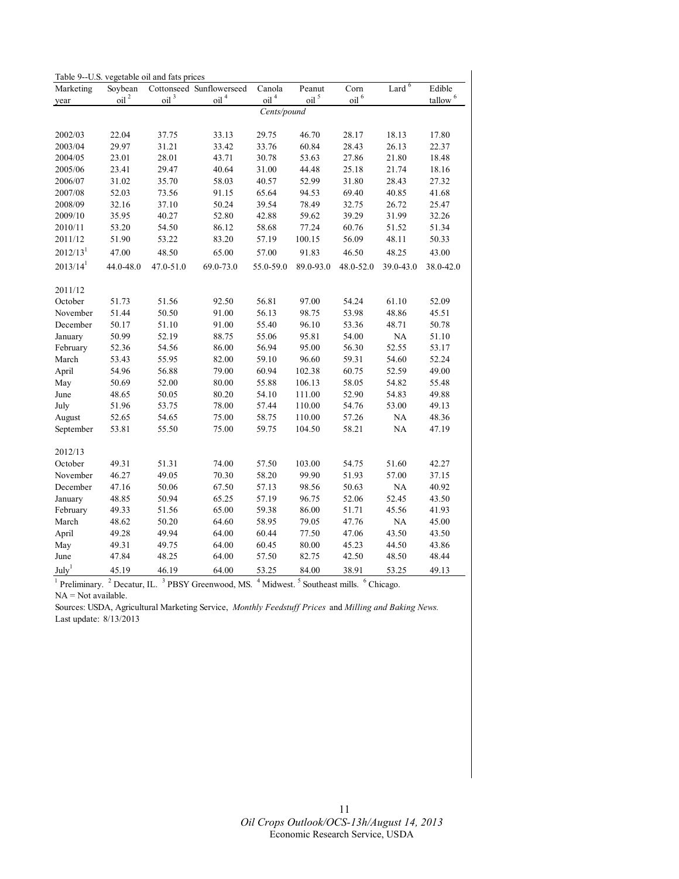| Table 9--U.S. vegetable oil and fats prices |                  |                           |                          |                           |                           |                       |           |               |  |  |
|---------------------------------------------|------------------|---------------------------|--------------------------|---------------------------|---------------------------|-----------------------|-----------|---------------|--|--|
| Marketing                                   | Soybean          |                           | Cottonseed Sunflowerseed | Canola                    | Peanut                    | Corn                  | Lard $6$  | Edible        |  |  |
| year                                        | oil <sup>2</sup> | $\overline{\text{oil}}^3$ | oil <sup>4</sup>         | $\overline{\text{oil}}^4$ | $\overline{\text{oil}}^5$ | $\Omega$ <sup>6</sup> |           | $t$ allow $6$ |  |  |
|                                             |                  |                           |                          | Cents/pound               |                           |                       |           |               |  |  |
|                                             |                  |                           |                          |                           |                           |                       |           |               |  |  |
| 2002/03                                     | 22.04            | 37.75                     | 33.13                    | 29.75                     | 46.70                     | 28.17                 | 18.13     | 17.80         |  |  |
| 2003/04                                     | 29.97            | 31.21                     | 33.42                    | 33.76                     | 60.84                     | 28.43                 | 26.13     | 22.37         |  |  |
| 2004/05                                     | 23.01            | 28.01                     | 43.71                    | 30.78                     | 53.63                     | 27.86                 | 21.80     | 18.48         |  |  |
| 2005/06                                     | 23.41            | 29.47                     | 40.64                    | 31.00                     | 44.48                     | 25.18                 | 21.74     | 18.16         |  |  |
| 2006/07                                     | 31.02            | 35.70                     | 58.03                    | 40.57                     | 52.99                     | 31.80                 | 28.43     | 27.32         |  |  |
| 2007/08                                     | 52.03            | 73.56                     | 91.15                    | 65.64                     | 94.53                     | 69.40                 | 40.85     | 41.68         |  |  |
| 2008/09                                     | 32.16            | 37.10                     | 50.24                    | 39.54                     | 78.49                     | 32.75                 | 26.72     | 25.47         |  |  |
| 2009/10                                     | 35.95            | 40.27                     | 52.80                    | 42.88                     | 59.62                     | 39.29                 | 31.99     | 32.26         |  |  |
| 2010/11                                     | 53.20            | 54.50                     | 86.12                    | 58.68                     | 77.24                     | 60.76                 | 51.52     | 51.34         |  |  |
| 2011/12                                     | 51.90            | 53.22                     | 83.20                    | 57.19                     | 100.15                    | 56.09                 | 48.11     | 50.33         |  |  |
| 2012/13 <sup>1</sup>                        | 47.00            | 48.50                     | 65.00                    | 57.00                     | 91.83                     | 46.50                 | 48.25     | 43.00         |  |  |
| 2013/14 <sup>1</sup>                        | 44.0-48.0        | 47.0-51.0                 | 69.0-73.0                | 55.0-59.0                 | 89.0-93.0                 | 48.0-52.0             | 39.0-43.0 | 38.0-42.0     |  |  |
|                                             |                  |                           |                          |                           |                           |                       |           |               |  |  |
| 2011/12                                     |                  |                           |                          |                           |                           |                       |           |               |  |  |
| October                                     | 51.73            | 51.56                     | 92.50                    | 56.81                     | 97.00                     | 54.24                 | 61.10     | 52.09         |  |  |
| November                                    | 51.44            | 50.50                     | 91.00                    | 56.13                     | 98.75                     | 53.98                 | 48.86     | 45.51         |  |  |
| December                                    | 50.17            | 51.10                     | 91.00                    | 55.40                     | 96.10                     | 53.36                 | 48.71     | 50.78         |  |  |
| January                                     | 50.99            | 52.19                     | 88.75                    | 55.06                     | 95.81                     | 54.00                 | $\rm NA$  | 51.10         |  |  |
| February                                    | 52.36            | 54.56                     | 86.00                    | 56.94                     | 95.00                     | 56.30                 | 52.55     | 53.17         |  |  |
| March                                       | 53.43            | 55.95                     | 82.00                    | 59.10                     | 96.60                     | 59.31                 | 54.60     | 52.24         |  |  |
| April                                       | 54.96            | 56.88                     | 79.00                    | 60.94                     | 102.38                    | 60.75                 | 52.59     | 49.00         |  |  |
| May                                         | 50.69            | 52.00                     | 80.00                    | 55.88                     | 106.13                    | 58.05                 | 54.82     | 55.48         |  |  |
| June                                        | 48.65            | 50.05                     | 80.20                    | 54.10                     | 111.00                    | 52.90                 | 54.83     | 49.88         |  |  |
| July                                        | 51.96            | 53.75                     | 78.00                    | 57.44                     | 110.00                    | 54.76                 | 53.00     | 49.13         |  |  |
| August                                      | 52.65            | 54.65                     | 75.00                    | 58.75                     | 110.00                    | 57.26                 | $\rm NA$  | 48.36         |  |  |
| September                                   | 53.81            | 55.50                     | 75.00                    | 59.75                     | 104.50                    | 58.21                 | NA        | 47.19         |  |  |
| 2012/13                                     |                  |                           |                          |                           |                           |                       |           |               |  |  |
| October                                     | 49.31            | 51.31                     | 74.00                    | 57.50                     | 103.00                    | 54.75                 | 51.60     | 42.27         |  |  |
| November                                    | 46.27            | 49.05                     | 70.30                    | 58.20                     | 99.90                     | 51.93                 | 57.00     | 37.15         |  |  |
| December                                    | 47.16            | 50.06                     | 67.50                    | 57.13                     | 98.56                     | 50.63                 | NA        | 40.92         |  |  |
| January                                     | 48.85            | 50.94                     | 65.25                    | 57.19                     | 96.75                     | 52.06                 | 52.45     | 43.50         |  |  |
| February                                    | 49.33            | 51.56                     | 65.00                    | 59.38                     | 86.00                     | 51.71                 | 45.56     | 41.93         |  |  |
| March                                       | 48.62            | 50.20                     | 64.60                    | 58.95                     | 79.05                     | 47.76                 | $\rm NA$  | 45.00         |  |  |
| April                                       | 49.28            | 49.94                     | 64.00                    | 60.44                     | 77.50                     | 47.06                 | 43.50     | 43.50         |  |  |
| May                                         | 49.31            | 49.75                     | 64.00                    | 60.45                     | 80.00                     | 45.23                 | 44.50     | 43.86         |  |  |
| June                                        | 47.84            | 48.25                     | 64.00                    | 57.50                     | 82.75                     | 42.50                 | 48.50     | 48.44         |  |  |
| July <sup>1</sup>                           | 45.19            | 46.19                     | 64.00                    | 53.25                     | 84.00                     | 38.91                 | 53.25     | 49.13         |  |  |
|                                             |                  |                           |                          |                           |                           |                       |           |               |  |  |

 $<sup>1</sup>$  Preliminary.  $<sup>2</sup>$  Decatur, IL.  $<sup>3</sup>$  PBSY Greenwood, MS.  $<sup>4</sup>$  Midwest.  $<sup>5</sup>$  Southeast mills.  $<sup>6</sup>$  Chicago.</sup></sup></sup></sup></sup></sup>  $NA = Not available.$ 

Sources: USDA, Agricultural Marketing Service, *Monthly Feedstuff Prices* and *Milling and Baking News.*  Last update: 8/13/2013